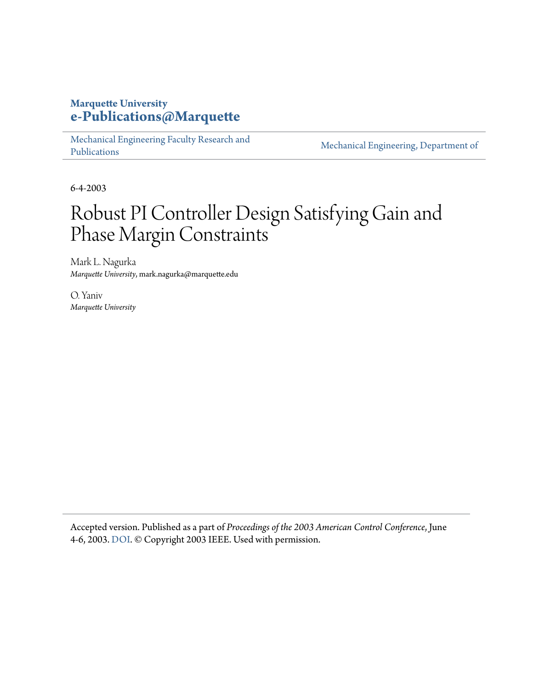# **Marquette University [e-Publications@Marquette](https://epublications.marquette.edu)**

[Mechanical Engineering Faculty Research and](https://epublications.marquette.edu/mechengin_fac) [Publications](https://epublications.marquette.edu/mechengin_fac)

[Mechanical Engineering, Department of](https://epublications.marquette.edu/mechengin)

6-4-2003

# Robust PI Controller Design Satisfying Gain and Phase Margin Constraints

Mark L. Nagurka *Marquette University*, mark.nagurka@marquette.edu

O. Yaniv *Marquette University*

Accepted version. Published as a part of *Proceedings of the 2003 American Control Conference*, June 4-6, 2003. [DOI.](https://doi.org/10.1109/ACC.2003.1240450) © Copyright 2003 IEEE. Used with permission.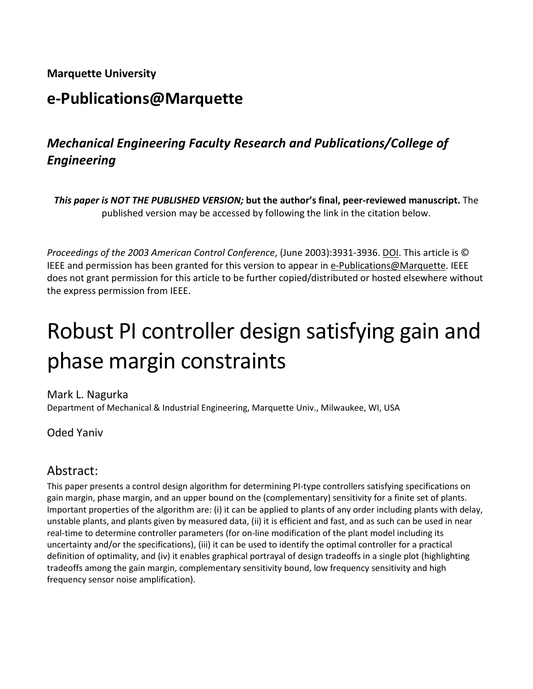## **Marquette University**

# **e-Publications@Marquette**

# *Mechanical Engineering Faculty Research and Publications/College of Engineering*

*This paper is NOT THE PUBLISHED VERSION;* **but the author's final, peer-reviewed manuscript.** The published version may be accessed by following the link in the citation below.

*Proceedings of the 2003 American Control Conference*, (June 2003):3931-3936. DOI. This article is © IEEE and permission has been granted for this version to appear in [e-Publications@Marquette.](http://epublications.marquette.edu/) IEEE does not grant permission for this article to be further copied/distributed or hosted elsewhere without the express permission from IEEE.

# Robust PI controller design satisfying gain and phase margin constraints

Mark L. Nagurka Department of Mechanical & Industrial Engineering, Marquette Univ., Milwaukee, WI, USA

## Oded Yaniv

# Abstract:

This paper presents a control design algorithm for determining PI-type controllers satisfying specifications on gain margin, phase margin, and an upper bound on the (complementary) sensitivity for a finite set of plants. Important properties of the algorithm are: (i) it can be applied to plants of any order including plants with delay, unstable plants, and plants given by measured data, (ii) it is efficient and fast, and as such can be used in near real-time to determine controller parameters (for on-line modification of the plant model including its uncertainty and/or the specifications), (iii) it can be used to identify the optimal controller for a practical definition of optimality, and (iv) it enables graphical portrayal of design tradeoffs in a single plot (highlighting tradeoffs among the gain margin, complementary sensitivity bound, low frequency sensitivity and high frequency sensor noise amplification).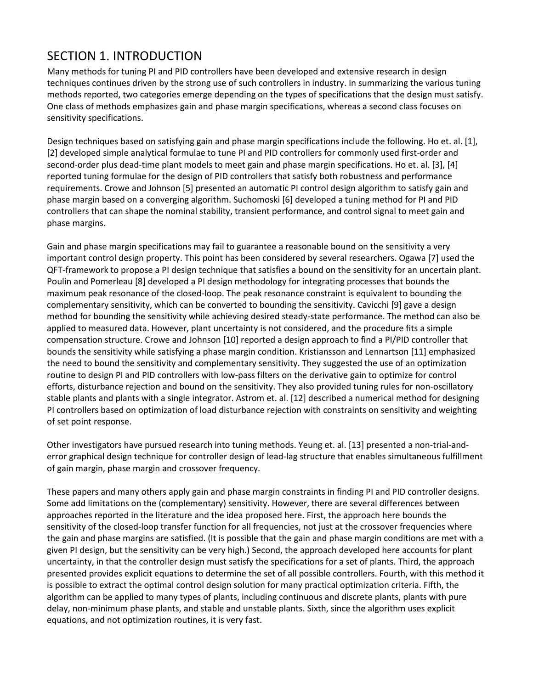# SECTION 1. INTRODUCTION

Many methods for tuning PI and PID controllers have been developed and extensive research in design techniques continues driven by the strong use of such controllers in industry. In summarizing the various tuning methods reported, two categories emerge depending on the types of specifications that the design must satisfy. One class of methods emphasizes gain and phase margin specifications, whereas a second class focuses on sensitivity specifications.

Design techniques based on satisfying gain and phase margin specifications include the following. Ho et. al. [1], [2] developed simple analytical formulae to tune PI and PID controllers for commonly used first-order and second-order plus dead-time plant models to meet gain and phase margin specifications. Ho et. al. [3], [4] reported tuning formulae for the design of PID controllers that satisfy both robustness and performance requirements. Crowe and Johnson [5] presented an automatic PI control design algorithm to satisfy gain and phase margin based on a converging algorithm. Suchomoski [6] developed a tuning method for PI and PID controllers that can shape the nominal stability, transient performance, and control signal to meet gain and phase margins.

Gain and phase margin specifications may fail to guarantee a reasonable bound on the sensitivity a very important control design property. This point has been considered by several researchers. Ogawa [7] used the QFT-framework to propose a PI design technique that satisfies a bound on the sensitivity for an uncertain plant. Poulin and Pomerleau [8] developed a PI design methodology for integrating processes that bounds the maximum peak resonance of the closed-loop. The peak resonance constraint is equivalent to bounding the complementary sensitivity, which can be converted to bounding the sensitivity. Cavicchi [9] gave a design method for bounding the sensitivity while achieving desired steady-state performance. The method can also be applied to measured data. However, plant uncertainty is not considered, and the procedure fits a simple compensation structure. Crowe and Johnson [10] reported a design approach to find a PI/PID controller that bounds the sensitivity while satisfying a phase margin condition. Kristiansson and Lennartson [11] emphasized the need to bound the sensitivity and complementary sensitivity. They suggested the use of an optimization routine to design PI and PID controllers with low-pass filters on the derivative gain to optimize for control efforts, disturbance rejection and bound on the sensitivity. They also provided tuning rules for non-oscillatory stable plants and plants with a single integrator. Astrom et. al. [12] described a numerical method for designing PI controllers based on optimization of load disturbance rejection with constraints on sensitivity and weighting of set point response.

Other investigators have pursued research into tuning methods. Yeung et. al. [13] presented a non-trial-anderror graphical design technique for controller design of lead-lag structure that enables simultaneous fulfillment of gain margin, phase margin and crossover frequency.

These papers and many others apply gain and phase margin constraints in finding PI and PID controller designs. Some add limitations on the (complementary) sensitivity. However, there are several differences between approaches reported in the literature and the idea proposed here. First, the approach here bounds the sensitivity of the closed-loop transfer function for all frequencies, not just at the crossover frequencies where the gain and phase margins are satisfied. (It is possible that the gain and phase margin conditions are met with a given PI design, but the sensitivity can be very high.) Second, the approach developed here accounts for plant uncertainty, in that the controller design must satisfy the specifications for a set of plants. Third, the approach presented provides explicit equations to determine the set of all possible controllers. Fourth, with this method it is possible to extract the optimal control design solution for many practical optimization criteria. Fifth, the algorithm can be applied to many types of plants, including continuous and discrete plants, plants with pure delay, non-minimum phase plants, and stable and unstable plants. Sixth, since the algorithm uses explicit equations, and not optimization routines, it is very fast.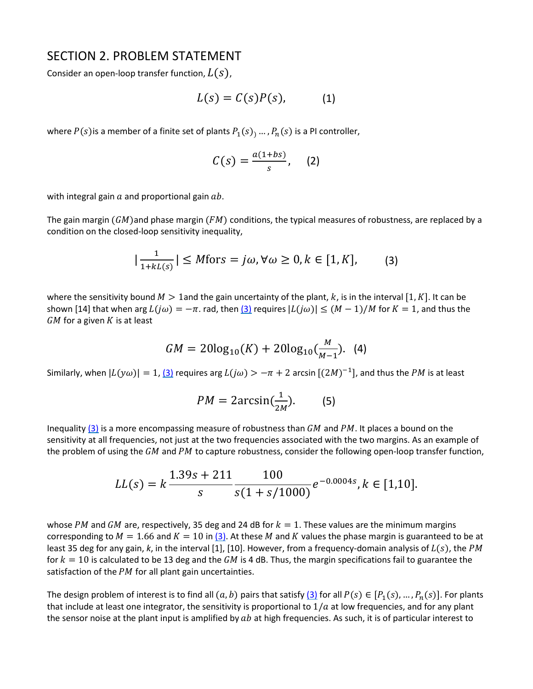### SECTION 2. PROBLEM STATEMENT

Consider an open-loop transfer function,  $L(s)$ ,

$$
L(s) = C(s)P(s), \qquad (1)
$$

where  $P(s)$  is a member of a finite set of plants  $P_1(s)$ , ...,  $P_n(s)$  is a PI controller,

$$
C(s) = \frac{a(1+bs)}{s}, \quad (2)
$$

with integral gain  $a$  and proportional gain  $ab$ .

The gain margin ( $GM$ )and phase margin ( $FM$ ) conditions, the typical measures of robustness, are replaced by a condition on the closed-loop sensitivity inequality,

$$
|\frac{1}{1+kl(s)}| \le M \text{for } s = j\omega, \forall \omega \ge 0, k \in [1, K], \tag{3}
$$

where the sensitivity bound  $M > 1$  and the gain uncertainty of the plant, k, is in the interval [1, K]. It can be shown [14] that when arg  $L(j\omega) = -\pi$ . rad, the[n \(3\)](https://ieeexplore.ieee.org/document/#deqn3) requires  $|L(j\omega)| \leq (M-1)/M$  for  $K = 1$ , and thus the  $GM$  for a given  $K$  is at least

$$
GM = 20\log_{10}(K) + 20\log_{10}(\frac{M}{M-1}).
$$
 (4)

Similarly, when  $|L(y\omega)| = 1$ ,  $(3)$  requires arg  $L(j\omega) > -\pi + 2$  arcsin  $[(2M)^{-1}]$ , and thus the PM is at least

$$
PM = 2\arcsin(\frac{1}{2M}).\tag{5}
$$

Inequality  $(3)$  is a more encompassing measure of robustness than GM and PM. It places a bound on the sensitivity at all frequencies, not just at the two frequencies associated with the two margins. As an example of the problem of using the  $GM$  and PM to capture robustness, consider the following open-loop transfer function,

$$
LL(s) = k \frac{1.39s + 211}{s} \frac{100}{s(1 + s/1000)} e^{-0.0004s}, k \in [1, 10].
$$

whose PM and GM are, respectively, 35 deg and 24 dB for  $k = 1$ . These values are the minimum margins corresponding to  $M = 1.66$  and  $K = 10$  in [\(3\).](https://ieeexplore.ieee.org/document/#deqn3) At these M and K values the phase margin is guaranteed to be at least 35 deg for any gain, k, in the interval [1], [10]. However, from a frequency-domain analysis of  $L(s)$ , the PM for  $k = 10$  is calculated to be 13 deg and the GM is 4 dB. Thus, the margin specifications fail to guarantee the satisfaction of the  $PM$  for all plant gain uncertainties.

The design problem of interest is to find all  $(a, b)$  pairs that satisfy  $(3)$  for all  $P(s) \in [P_1(s), ..., P_n(s)]$ . For plants that include at least one integrator, the sensitivity is proportional to  $1/a$  at low frequencies, and for any plant the sensor noise at the plant input is amplified by  $ab$  at high frequencies. As such, it is of particular interest to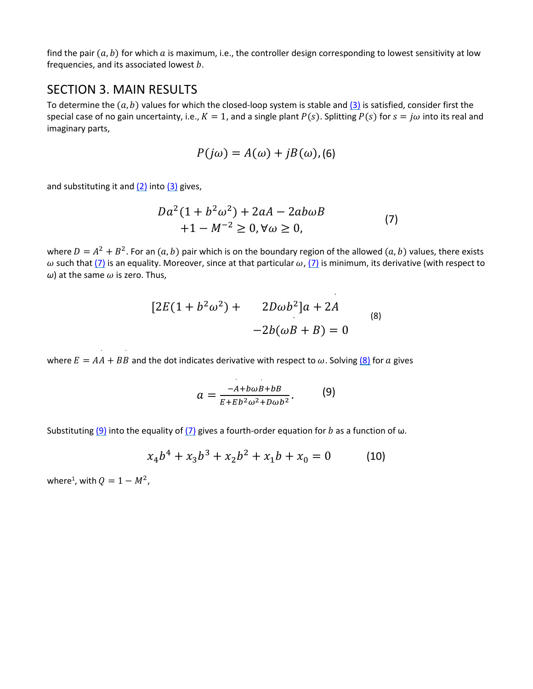find the pair  $(a, b)$  for which a is maximum, i.e., the controller design corresponding to lowest sensitivity at low frequencies, and its associated lowest  $b$ .

### SECTION 3. MAIN RESULTS

To determine the  $(a, b)$  values for which the closed-loop system is stable and  $(3)$  is satisfied, consider first the special case of no gain uncertainty, i.e.,  $K = 1$ , and a single plant  $P(s)$ . Splitting  $P(s)$  for  $s = j\omega$  into its real and imaginary parts,

$$
P(j\omega) = A(\omega) + jB(\omega),
$$
 (6)

and substituting it and  $(2)$  into  $(3)$  gives,

$$
Da2(1 + b2ω2) + 2aA – 2abωB+1 – M-2 ≥ 0, ∀ω ≥ 0,
$$
 (7)

where  $D = A^2 + B^2$ . For an  $(a, b)$  pair which is on the boundary region of the allowed  $(a, b)$  values, there exists  $\omega$  such tha[t \(7\)](https://ieeexplore.ieee.org/document/#deqn7) is an equality. Moreover, since at that particular  $\omega$ , [\(7\)](https://ieeexplore.ieee.org/document/#deqn7) is minimum, its derivative (with respect to  $\omega$ ) at the same  $\omega$  is zero. Thus,

$$
[2E(1 + b2ω2) + 2Dωb2]a + 2A
$$
  
-2b(ωB + B) = 0 (8)

where  $E = AA + BB$  and the dot indicates derivative with respect to  $\omega$ . Solving  $\underline{(8)}$  for  $a$  gives

$$
a=\frac{-A+b\omega B+bB}{E+Eb^2\omega^2+D\omega b^2}.
$$
 (9)

Substituting  $(9)$  into the equality of  $(7)$  gives a fourth-order equation for b as a function of  $\omega$ .

$$
x_4b^4 + x_3b^3 + x_2b^2 + x_1b + x_0 = 0 \tag{10}
$$

where<sup>1</sup>, with  $Q = 1 - M^2$ ,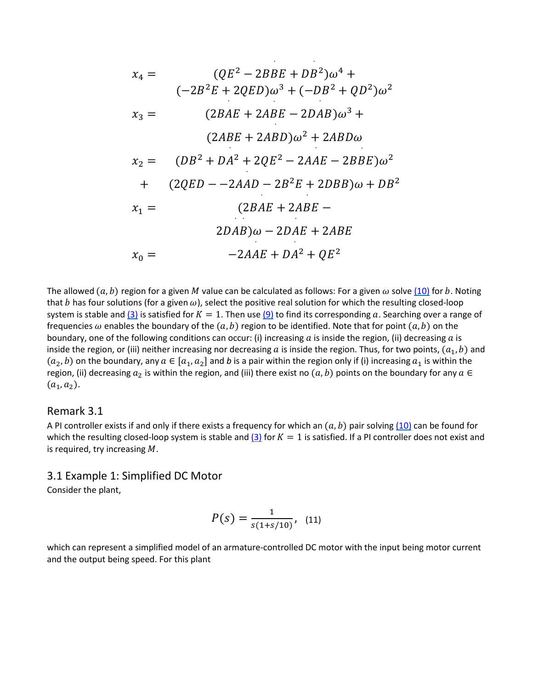$$
x_4 = (QE^2 - 2BBE + DB^2)\omega^4 +
$$
  
\n
$$
(-2B^2E + 2QED)\omega^3 + (-DB^2 + QD^2)\omega^2
$$
  
\n
$$
x_3 = (2BAE + 2ABE - 2DAB)\omega^3 +
$$
  
\n
$$
(2ABE + 2ABD)\omega^2 + 2ABD\omega
$$
  
\n
$$
x_2 = (DB^2 + DA^2 + 2QE^2 - 2AAE - 2BBE)\omega^2
$$
  
\n
$$
+ (2QED - -2AAD - 2B^2E + 2DBB)\omega + DB^2
$$
  
\n
$$
x_1 = (2BAE + 2ABE -
$$
  
\n
$$
2DAB)\omega - 2DAE + 2ABE
$$
  
\n
$$
x_0 = -2AAE + DA^2 + QE^2
$$

The allowed  $(a, b)$  region for a given M value can be calculated as follows: For a given  $\omega$  solv[e \(10\)](https://ieeexplore.ieee.org/document/#deqn10) for b. Noting that b has four solutions (for a given  $\omega$ ), select the positive real solution for which the resulting closed-loop system is stable and  $(3)$  is satisfied for  $K = 1$ . Then use  $(9)$  to find its corresponding a. Searching over a range of frequencies  $\omega$  enables the boundary of the  $(a, b)$  region to be identified. Note that for point  $(a, b)$  on the boundary, one of the following conditions can occur: (i) increasing  $a$  is inside the region, (ii) decreasing  $a$  is inside the region, or (iii) neither increasing nor decreasing a is inside the region. Thus, for two points,  $(a_1, b)$  and  $(a_2, b)$  on the boundary, any  $a \in [a_1, a_2]$  and *b* is a pair within the region only if (i) increasing  $a_1$  is within the region, (ii) decreasing  $a_2$  is within the region, and (iii) there exist no  $(a, b)$  points on the boundary for any  $a \in$  $(a_1, a_2)$ .

#### Remark 3.1

A PI controller exists if and only if there exists a frequency for which an  $(a, b)$  pair solving  $(10)$  can be found for which the resulting closed-loop system is stable and  $(3)$  for  $K = 1$  is satisfied. If a PI controller does not exist and is required, try increasing  $M$ .

#### 3.1 Example 1: Simplified DC Motor

Consider the plant,

$$
P(s) = \frac{1}{s(1+s/10)}, \quad (11)
$$

which can represent a simplified model of an armature-controlled DC motor with the input being motor current and the output being speed. For this plant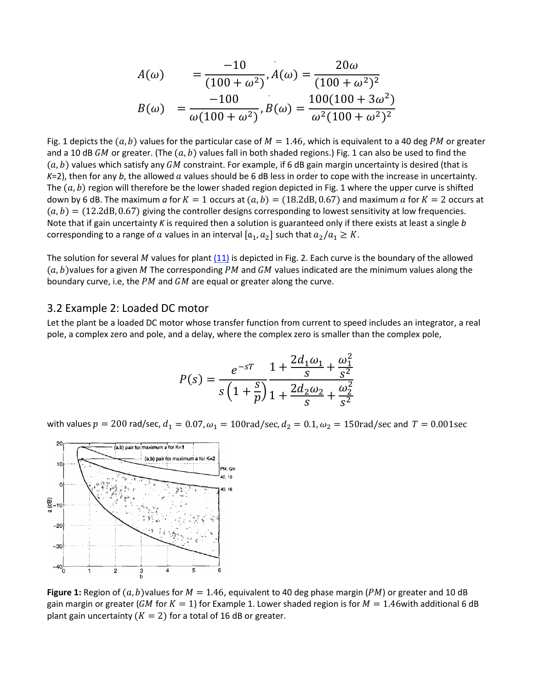$$
A(\omega) = \frac{-10}{(100 + \omega^2)}, A(\omega) = \frac{20\omega}{(100 + \omega^2)^2}
$$

$$
B(\omega) = \frac{-100}{\omega(100 + \omega^2)}, B(\omega) = \frac{100(100 + 3\omega^2)}{\omega^2(100 + \omega^2)^2}
$$

Fig. 1 depicts the  $(a, b)$  values for the particular case of  $M = 1.46$ , which is equivalent to a 40 deg PM or greater and a 10 dB GM or greater. (The  $(a, b)$  values fall in both shaded regions.) Fig. 1 can also be used to find the  $(a, b)$  values which satisfy any GM constraint. For example, if 6 dB gain margin uncertainty is desired (that is *K*=2), then for any *b*, the allowed *a* values should be 6 dB less in order to cope with the increase in uncertainty. The  $(a, b)$  region will therefore be the lower shaded region depicted in Fig. 1 where the upper curve is shifted down by 6 dB. The maximum *a* for  $K = 1$  occurs at  $(a, b) = (18.2 dB, 0.67)$  and maximum *a* for  $K = 2$  occurs at  $(a, b) = (12.2dB, 0.67)$  giving the controller designs corresponding to lowest sensitivity at low frequencies. Note that if gain uncertainty *K* is required then a solution is guaranteed only if there exists at least a single *b* corresponding to a range of  $a$  values in an interval  $[a_1, a_2]$  such that  $a_2/a_1 \geq K$ .

The solution for several  $M$  values for plant  $(11)$  is depicted in Fig. 2. Each curve is the boundary of the allowed  $(a, b)$  values for a given M The corresponding PM and GM values indicated are the minimum values along the boundary curve, i.e, the  $PM$  and  $GM$  are equal or greater along the curve.

#### 3.2 Example 2: Loaded DC motor

Let the plant be a loaded DC motor whose transfer function from current to speed includes an integrator, a real pole, a complex zero and pole, and a delay, where the complex zero is smaller than the complex pole,

$$
P(s) = \frac{e^{-sT}}{s\left(1+\frac{s}{p}\right)}\frac{1+\frac{2d_1\omega_1}{s} + \frac{\omega_1^2}{s^2}}{1+\frac{2d_2\omega_2}{s} + \frac{\omega_2^2}{s^2}}
$$

with values  $p = 200$  rad/sec,  $d_1 = 0.07$ ,  $\omega_1 = 100$ rad/sec,  $d_2 = 0.1$ ,  $\omega_2 = 150$ rad/sec and  $T = 0.001$ sec



**Figure 1:** Region of  $(a, b)$  values for  $M = 1.46$ , equivalent to 40 deg phase margin (*PM*) or greater and 10 dB gain margin or greater (GM for  $K = 1$ ) for Example 1. Lower shaded region is for  $M = 1.46$ with additional 6 dB plant gain uncertainty ( $K = 2$ ) for a total of 16 dB or greater.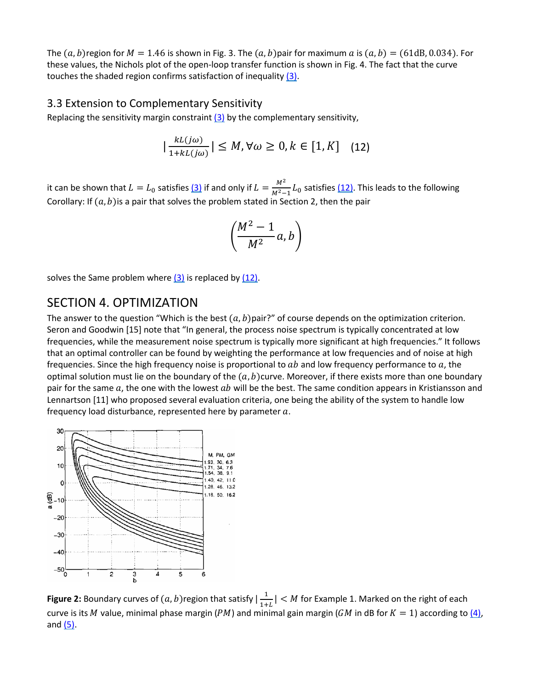The  $(a, b)$  region for  $M = 1.46$  is shown in Fig. 3. The  $(a, b)$  pair for maximum a is  $(a, b) = (61dB, 0.034)$ . For these values, the Nichols plot of the open-loop transfer function is shown in Fig. 4. The fact that the curve touches the shaded region confirms satisfaction of inequality [\(3\).](https://ieeexplore.ieee.org/document/#deqn3)

#### 3.3 Extension to Complementary Sensitivity

Replacing the sensitivity margin constraint  $(3)$  by the complementary sensitivity,

$$
|\frac{kL(j\omega)}{1+kL(j\omega)}| \le M, \forall \omega \ge 0, k \in [1, K] \quad (12)
$$

it can be shown that  $L = L_0$  satisfies  $(3)$  if and only if  $L = \frac{M^2}{M^2 - 1} L_0$  satisfies  $(12)$ . This leads to the following Corollary: If  $(a, b)$  is a pair that solves the problem stated in Section 2, then the pair

$$
\left(\frac{M^2-1}{M^2}a,b\right)
$$

solves the Same problem where  $(3)$  is replaced by  $(12)$ .

## SECTION 4. OPTIMIZATION

The answer to the question "Which is the best  $(a, b)$  pair?" of course depends on the optimization criterion. Seron and Goodwin [15] note that "In general, the process noise spectrum is typically concentrated at low frequencies, while the measurement noise spectrum is typically more significant at high frequencies." It follows that an optimal controller can be found by weighting the performance at low frequencies and of noise at high frequencies. Since the high frequency noise is proportional to  $ab$  and low frequency performance to  $a$ , the optimal solution must lie on the boundary of the  $(a, b)$ curve. Moreover, if there exists more than one boundary pair for the same  $a$ , the one with the lowest  $ab$  will be the best. The same condition appears in Kristiansson and Lennartson [11] who proposed several evaluation criteria, one being the ability of the system to handle low frequency load disturbance, represented here by parameter  $a$ .



**Figure 2:** Boundary curves of  $(a, b)$ region that satisfy  $\left| \frac{1}{1+L} \right| < M$  for Example 1. Marked on the right of each curve is its M value, minimal phase margin (PM) and minimal gain margin (GM in dB for  $K = 1$ ) according to [\(4\),](https://ieeexplore.ieee.org/document/#deqn4) and  $(5)$ .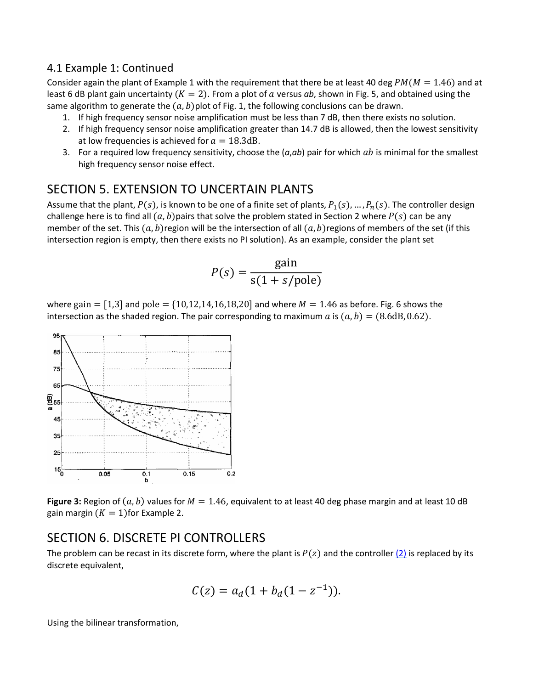#### 4.1 Example 1: Continued

Consider again the plant of Example 1 with the requirement that there be at least 40 deg  $PM(M = 1.46)$  and at least 6 dB plant gain uncertainty ( $K = 2$ ). From a plot of a versus ab, shown in Fig. 5, and obtained using the same algorithm to generate the  $(a, b)$  plot of Fig. 1, the following conclusions can be drawn.

- 1. If high frequency sensor noise amplification must be less than 7 dB, then there exists no solution.
- 2. If high frequency sensor noise amplification greater than 14.7 dB is allowed, then the lowest sensitivity at low frequencies is achieved for  $a = 18.3$ dB.
- 3. For a required low frequency sensitivity, choose the (*a*,*ab*) pair for which is minimal for the smallest high frequency sensor noise effect.

## SECTION 5. EXTENSION TO UNCERTAIN PLANTS

Assume that the plant,  $P(s)$ , is known to be one of a finite set of plants,  $P_1(s)$ , …,  $P_n(s)$ . The controller design challenge here is to find all  $(a, b)$  pairs that solve the problem stated in Section 2 where  $P(s)$  can be any member of the set. This  $(a, b)$ region will be the intersection of all  $(a, b)$ regions of members of the set (if this intersection region is empty, then there exists no PI solution). As an example, consider the plant set

$$
P(s) = \frac{\text{gain}}{\text{s}(1 + s/\text{pole})}
$$

where gain =  $[1,3]$  and pole =  $\{10,12,14,16,18,20\}$  and where  $M = 1.46$  as before. Fig. 6 shows the intersection as the shaded region. The pair corresponding to maximum a is  $(a, b) = (8.6dB, 0.62)$ .



**Figure 3:** Region of  $(a, b)$  values for  $M = 1.46$ , equivalent to at least 40 deg phase margin and at least 10 dB gain margin  $(K = 1)$ for Example 2.

## SECTION 6. DISCRETE PI CONTROLLERS

The problem can be recast in its discrete form, where the plant is  $P(z)$  and the controller  $(2)$  is replaced by its discrete equivalent,

$$
C(z) = a_d(1 + b_d(1 - z^{-1})).
$$

Using the bilinear transformation,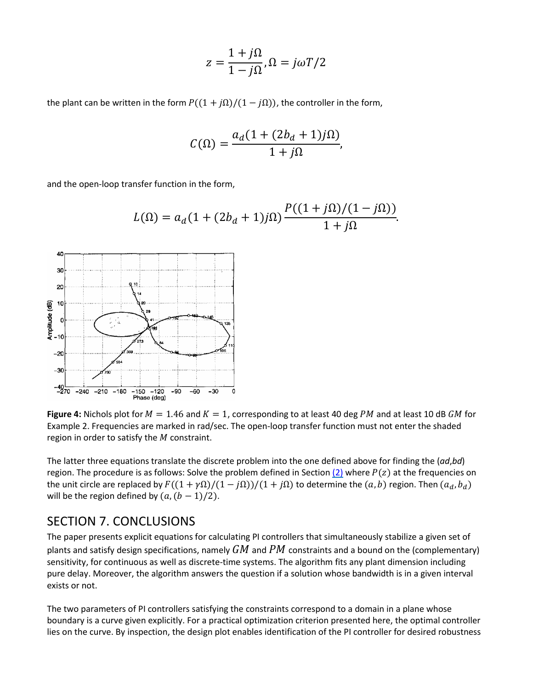$$
z = \frac{1 + j\Omega}{1 - j\Omega}, \Omega = j\omega T/2
$$

the plant can be written in the form  $P((1 + i\Omega)/(1 - i\Omega))$ , the controller in the form,

$$
C(\Omega) = \frac{a_d (1 + (2b_d + 1)j\Omega)}{1 + j\Omega},
$$

and the open-loop transfer function in the form,

$$
L(\Omega) = a_d (1 + (2b_d + 1)j\Omega) \frac{P((1 + j\Omega)/(1 - j\Omega))}{1 + j\Omega}.
$$



**Figure 4:** Nichols plot for  $M = 1.46$  and  $K = 1$ , corresponding to at least 40 deg PM and at least 10 dB GM for Example 2. Frequencies are marked in rad/sec. The open-loop transfer function must not enter the shaded region in order to satisfy the  $M$  constraint.

The latter three equations translate the discrete problem into the one defined above for finding the (*ad*,*bd*) region. The procedure is as follows: Solve the problem defined in Section [\(2\)](https://ieeexplore.ieee.org/document/#deqn2) where  $P(z)$  at the frequencies on the unit circle are replaced by  $F((1 + \gamma \Omega)/(1 - j\Omega))/(1 + j\Omega)$  to determine the  $(a, b)$  region. Then  $(a_d, b_d)$ will be the region defined by  $(a, (b - 1)/2)$ .

#### SECTION 7. CONCLUSIONS

The paper presents explicit equations for calculating PI controllers that simultaneously stabilize a given set of plants and satisfy design specifications, namely  $GM$  and  $PM$  constraints and a bound on the (complementary) sensitivity, for continuous as well as discrete-time systems. The algorithm fits any plant dimension including pure delay. Moreover, the algorithm answers the question if a solution whose bandwidth is in a given interval exists or not.

The two parameters of PI controllers satisfying the constraints correspond to a domain in a plane whose boundary is a curve given explicitly. For a practical optimization criterion presented here, the optimal controller lies on the curve. By inspection, the design plot enables identification of the PI controller for desired robustness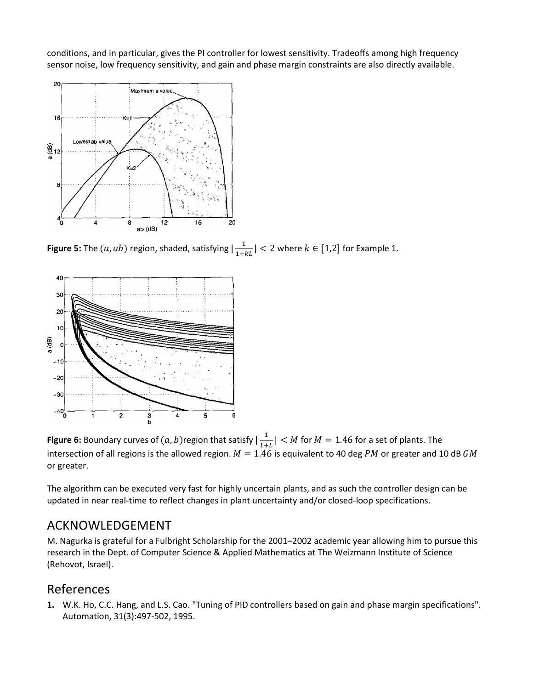conditions, and in particular, gives the PI controller for lowest sensitivity. Tradeoffs among high frequency sensor noise, low frequency sensitivity, and gain and phase margin constraints are also directly available.



**Figure 5:** The  $(a, ab)$  region, shaded, satisfying  $\left| \frac{1}{1 + kL} \right| < 2$  where  $k \in [1,2]$  for Example 1.



**Figure 6:** Boundary curves of  $(a, b)$ region that satisfy  $\left| \frac{1}{1+L} \right| < M$  for  $M = 1.46$  for a set of plants. The intersection of all regions is the allowed region.  $M = 1.46$  is equivalent to 40 deg PM or greater and 10 dB GM or greater.

The algorithm can be executed very fast for highly uncertain plants, and as such the controller design can be updated in near real-time to reflect changes in plant uncertainty and/or closed-loop specifications.

# ACKNOWLEDGEMENT

M. Nagurka is grateful for a Fulbright Scholarship for the 2001–2002 academic year allowing him to pursue this research in the Dept. of Computer Science & Applied Mathematics at The Weizmann Institute of Science (Rehovot, Israel).

# References

**1.** W.K. Ho, C.C. Hang, and L.S. Cao. "Tuning of PID controllers based on gain and phase margin specifications". Automation, 31(3):497-502, 1995.